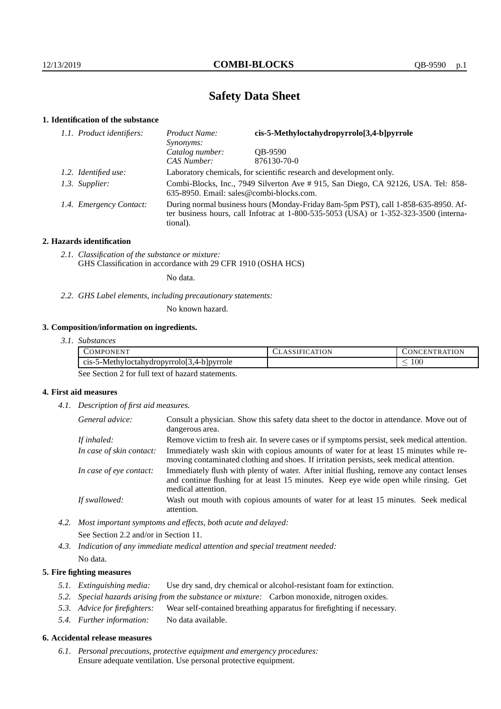# **Safety Data Sheet**

## **1. Identification of the substance**

| 1.1. Product identifiers: | cis-5-Methyloctahydropyrrolo[3,4-b]pyrrole<br>Product Name:<br>Synonyms:                                                                                                                |             |
|---------------------------|-----------------------------------------------------------------------------------------------------------------------------------------------------------------------------------------|-------------|
|                           | Catalog number:                                                                                                                                                                         | OB-9590     |
|                           | CAS Number:                                                                                                                                                                             | 876130-70-0 |
| 1.2. Identified use:      | Laboratory chemicals, for scientific research and development only.                                                                                                                     |             |
| 1.3. Supplier:            | Combi-Blocks, Inc., 7949 Silverton Ave # 915, San Diego, CA 92126, USA. Tel: 858-<br>635-8950. Email: sales@combi-blocks.com.                                                           |             |
| 1.4. Emergency Contact:   | During normal business hours (Monday-Friday 8am-5pm PST), call 1-858-635-8950. Af-<br>ter business hours, call Infotrac at 1-800-535-5053 (USA) or 1-352-323-3500 (interna-<br>tional). |             |

## **2. Hazards identification**

*2.1. Classification of the substance or mixture:* GHS Classification in accordance with 29 CFR 1910 (OSHA HCS)

No data.

*2.2. GHS Label elements, including precautionary statements:*

No known hazard.

## **3. Composition/information on ingredients.**

| 3.1. Substances |  |
|-----------------|--|
|                 |  |

| )MP<br>N<br>1 N H                                     | <b>ION</b> | <b>TION</b><br>⊣ N<br>∣N⊧<br>тк<br>$\sim$ |
|-------------------------------------------------------|------------|-------------------------------------------|
| $C1S-$<br>5-Methyloctahydropyrrolol.<br>4-b   pyrrole |            | $100\,$<br>$\overline{\phantom{a}}$       |

See Section 2 for full text of hazard statements.

## **4. First aid measures**

*4.1. Description of first aid measures.*

| General advice:          | Consult a physician. Show this safety data sheet to the doctor in attendance. Move out of<br>dangerous area.                                                                                            |
|--------------------------|---------------------------------------------------------------------------------------------------------------------------------------------------------------------------------------------------------|
| If inhaled:              | Remove victim to fresh air. In severe cases or if symptoms persist, seek medical attention.                                                                                                             |
| In case of skin contact: | Immediately wash skin with copious amounts of water for at least 15 minutes while re-<br>moving contaminated clothing and shoes. If irritation persists, seek medical attention.                        |
| In case of eye contact:  | Immediately flush with plenty of water. After initial flushing, remove any contact lenses<br>and continue flushing for at least 15 minutes. Keep eye wide open while rinsing. Get<br>medical attention. |
| If swallowed:            | Wash out mouth with copious amounts of water for at least 15 minutes. Seek medical<br>attention.                                                                                                        |

*4.2. Most important symptoms and effects, both acute and delayed:* See Section 2.2 and/or in Section 11.

*4.3. Indication of any immediate medical attention and special treatment needed:* No data.

## **5. Fire fighting measures**

- *5.1. Extinguishing media:* Use dry sand, dry chemical or alcohol-resistant foam for extinction.
- *5.2. Special hazards arising from the substance or mixture:* Carbon monoxide, nitrogen oxides.
- *5.3. Advice for firefighters:* Wear self-contained breathing apparatus for firefighting if necessary.
- *5.4. Further information:* No data available.

### **6. Accidental release measures**

*6.1. Personal precautions, protective equipment and emergency procedures:* Ensure adequate ventilation. Use personal protective equipment.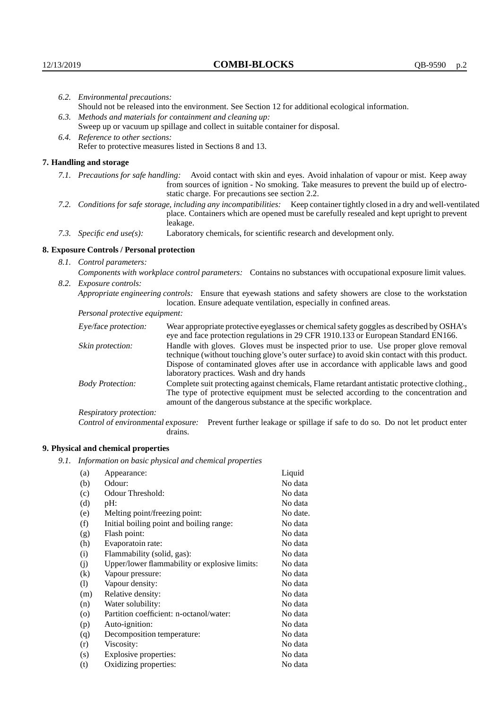|      | 6.2. Environmental precautions:                                                                                                                                                                                                                                    |                                                                                                                                                                                                                                                                                                                        |  |
|------|--------------------------------------------------------------------------------------------------------------------------------------------------------------------------------------------------------------------------------------------------------------------|------------------------------------------------------------------------------------------------------------------------------------------------------------------------------------------------------------------------------------------------------------------------------------------------------------------------|--|
|      |                                                                                                                                                                                                                                                                    | Should not be released into the environment. See Section 12 for additional ecological information.                                                                                                                                                                                                                     |  |
| 6.3. |                                                                                                                                                                                                                                                                    | Methods and materials for containment and cleaning up:                                                                                                                                                                                                                                                                 |  |
|      | Sweep up or vacuum up spillage and collect in suitable container for disposal.                                                                                                                                                                                     |                                                                                                                                                                                                                                                                                                                        |  |
|      | 6.4. Reference to other sections:                                                                                                                                                                                                                                  |                                                                                                                                                                                                                                                                                                                        |  |
|      | Refer to protective measures listed in Sections 8 and 13.                                                                                                                                                                                                          |                                                                                                                                                                                                                                                                                                                        |  |
|      | 7. Handling and storage                                                                                                                                                                                                                                            |                                                                                                                                                                                                                                                                                                                        |  |
|      | 7.1. Precautions for safe handling: Avoid contact with skin and eyes. Avoid inhalation of vapour or mist. Keep away<br>from sources of ignition - No smoking. Take measures to prevent the build up of electro-<br>static charge. For precautions see section 2.2. |                                                                                                                                                                                                                                                                                                                        |  |
|      | 7.2. Conditions for safe storage, including any incompatibilities: Keep container tightly closed in a dry and well-ventilated<br>place. Containers which are opened must be carefully resealed and kept upright to prevent<br>leakage.                             |                                                                                                                                                                                                                                                                                                                        |  |
|      | 7.3. Specific end use(s):                                                                                                                                                                                                                                          | Laboratory chemicals, for scientific research and development only.                                                                                                                                                                                                                                                    |  |
|      | 8. Exposure Controls / Personal protection                                                                                                                                                                                                                         |                                                                                                                                                                                                                                                                                                                        |  |
|      | 8.1. Control parameters:                                                                                                                                                                                                                                           |                                                                                                                                                                                                                                                                                                                        |  |
|      | Components with workplace control parameters: Contains no substances with occupational exposure limit values.                                                                                                                                                      |                                                                                                                                                                                                                                                                                                                        |  |
|      | 8.2. Exposure controls:                                                                                                                                                                                                                                            |                                                                                                                                                                                                                                                                                                                        |  |
|      |                                                                                                                                                                                                                                                                    | Appropriate engineering controls: Ensure that eyewash stations and safety showers are close to the workstation<br>location. Ensure adequate ventilation, especially in confined areas.                                                                                                                                 |  |
|      | Personal protective equipment:                                                                                                                                                                                                                                     |                                                                                                                                                                                                                                                                                                                        |  |
|      | Eye/face protection:                                                                                                                                                                                                                                               | Wear appropriate protective eyeglasses or chemical safety goggles as described by OSHA's<br>eye and face protection regulations in 29 CFR 1910.133 or European Standard EN166.                                                                                                                                         |  |
|      | Skin protection:                                                                                                                                                                                                                                                   | Handle with gloves. Gloves must be inspected prior to use. Use proper glove removal<br>technique (without touching glove's outer surface) to avoid skin contact with this product.<br>Dispose of contaminated gloves after use in accordance with applicable laws and good<br>laboratory practices. Wash and dry hands |  |
|      | <b>Body Protection:</b>                                                                                                                                                                                                                                            | Complete suit protecting against chemicals, Flame retardant antistatic protective clothing.,<br>The type of protective equipment must be selected according to the concentration and<br>amount of the dangerous substance at the specific workplace.                                                                   |  |
|      | Perpentatory protection.                                                                                                                                                                                                                                           |                                                                                                                                                                                                                                                                                                                        |  |

Respiratory protection:

Control of environmental exposure: Prevent further leakage or spillage if safe to do so. Do not let product enter drains.

# **9. Physical and chemical properties**

*9.1. Information on basic physical and chemical properties*

| (a)                | Appearance:                                   | Liquid   |
|--------------------|-----------------------------------------------|----------|
| (b)                | Odour:                                        | No data  |
| (c)                | Odour Threshold:                              | No data  |
| (d)                | pH:                                           | No data  |
| (e)                | Melting point/freezing point:                 | No date. |
| (f)                | Initial boiling point and boiling range:      | No data  |
| (g)                | Flash point:                                  | No data  |
| (h)                | Evaporatoin rate:                             | No data  |
| (i)                | Flammability (solid, gas):                    | No data  |
| (i)                | Upper/lower flammability or explosive limits: | No data  |
| $\rm(k)$           | Vapour pressure:                              | No data  |
| (1)                | Vapour density:                               | No data  |
| (m)                | Relative density:                             | No data  |
| (n)                | Water solubility:                             | No data  |
| $\left( 0 \right)$ | Partition coefficient: n-octanol/water:       | No data  |
| (p)                | Auto-ignition:                                | No data  |
| (q)                | Decomposition temperature:                    | No data  |
| (r)                | Viscosity:                                    | No data  |
| (s)                | Explosive properties:                         | No data  |
| (t)                | Oxidizing properties:                         | No data  |